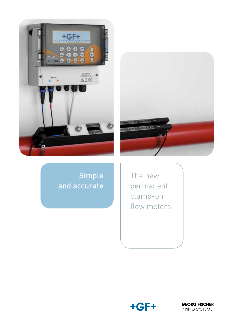



Simple and accurate

The new permanent clamp-on flow meters



**GEORG FISCHER** PIPING SYSTEMS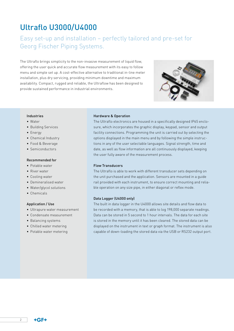# Ultraflo U3000/U4000

## Easy set-up and installation – perfectly tailored and pre-set for Georg Fischer Piping Systems.

The Ultraflo brings simplicity to the non-invasive measurement of liquid flow, offering the user quick and accurate flow measurement with its easy to follow menu and simple set up. A cost-effective alternative to traditional in-line meter installation, plus dry servicing, providing minimum downtime and maximum availability. Compact, rugged and reliable, the Ultraflow has been designed to provide sustained performance in industrial environments.



#### Industries

- Water
- • Building Services
- • Energy
- Chemical Industry
- • Food & Beverage
- Semiconductors

#### Recommended for

- Potable water
- • River water
- Cooling water
- • Demineralised water
- Water/glycol solutions
- • Chemicals

### Application / Use

- Ultrapure water measurement
- • Condensate measurement
- • Balancing systems
- • Chilled water metering
- Potable water metering

#### Hardware & Operation

The Ultraflo electronics are housed in a specifically designed IP65 enclosure, which incorporates the graphic display, keypad, sensor and output facility connections. Programming the unit is carried out by selecting the options displayed in the main menu and by following the simple instructions in any of the user selectable languages. Signal strength, time and date, as well as flow information are all continuously displayed, keeping the user fully aware of the measurement process.

#### Flow Transducers

The Ultraflo is able to work with different transducer sets depending on the unit purchased and the application. Sensors are mounted in a guide rail provided with each instrument, to ensure correct mounting and reliable operation on any size pipe, in either diagonal or reflex mode.

#### Data Logger (U4000 only)

The built in data logger in the U4000 allows site details and flow data to be recorded with a memory, that is able to log 198,000 separate readings. Data can be stored in 5 second to 1 hour intervals. The data for each site is stored in the memory until it has been cleared. The stored data can be displayed on the instrument in text or graph format. The instrument is also capable of down-loading the stored data via the USB or RS232 output port.

 $+GF+$ 

 $\overline{2}$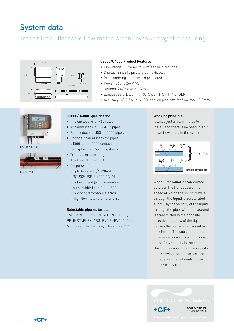# System data

## Transit time ultrasonic flow meter: a non-invasive way of measuring.



### U3000/U4000 Product Features

- Flow range: 0.1m/sec to 20m/sec bi-directional
- • Display: 64 x 240 pixels graphic display
- • Programming is password protected
- Power: 86V to 264V AC
	- Optional 24V a.c./d.c. 1A max.
- Languages EN, DE, FR, RU, SWE, IT, SP, P, NO, DEN
- Accuracy:  $+/-$  0.5% to  $+/-$  3% dep. on pipe size for flow rate  $> 0.2$ m/s



U3000/U4000



### U3000/U4000 Specification

- The enclosure is IP65 rated
- • A transducers: d13 d115 pipes
- B transducers: d50 d2000 pipes
- • Optional transducers for pipes d1500 up to d5000 contact Georg Fischer Piping Systems
- Transducer operating temp: A & B -20°C to +135°C
- Outputs:
	- Opto Isolated 0/4 –20mA
	- RS 232/USB (U4000 ONLY)
	- Pulse output (programmable pulse width from 2ms - 500ms)
	- Two programmable alarms (high/low flow volume or error)

#### Selectable pipe materials:

PVDF-SYGEF, PP-PROGEF, PE-ELGEF, PB-INSTAFLEX, ABS, PVC-U/PVC-C, Copper, Mild Steel, Ductile Iron, S'less Steel 316, …

#### Working principle

It takes just a few minutes to install and there is no need to shut down flow or drain the system.



When ultrasound is transmitted between the transducers, the speed at which the sound travels through the liquid is accelerated slightly by the velocity of the liquid through the pipe. When ultrasound is transmitted in the opposite direction, the flow of the liquid causes the transmitted sound to decelerate. The subsequent time difference is directly proportional to the flow velocity in the pipe. Having measured the flow velocity and knowing the pipe cross-sectional area, the volumetric flow can be easily calculated.



3